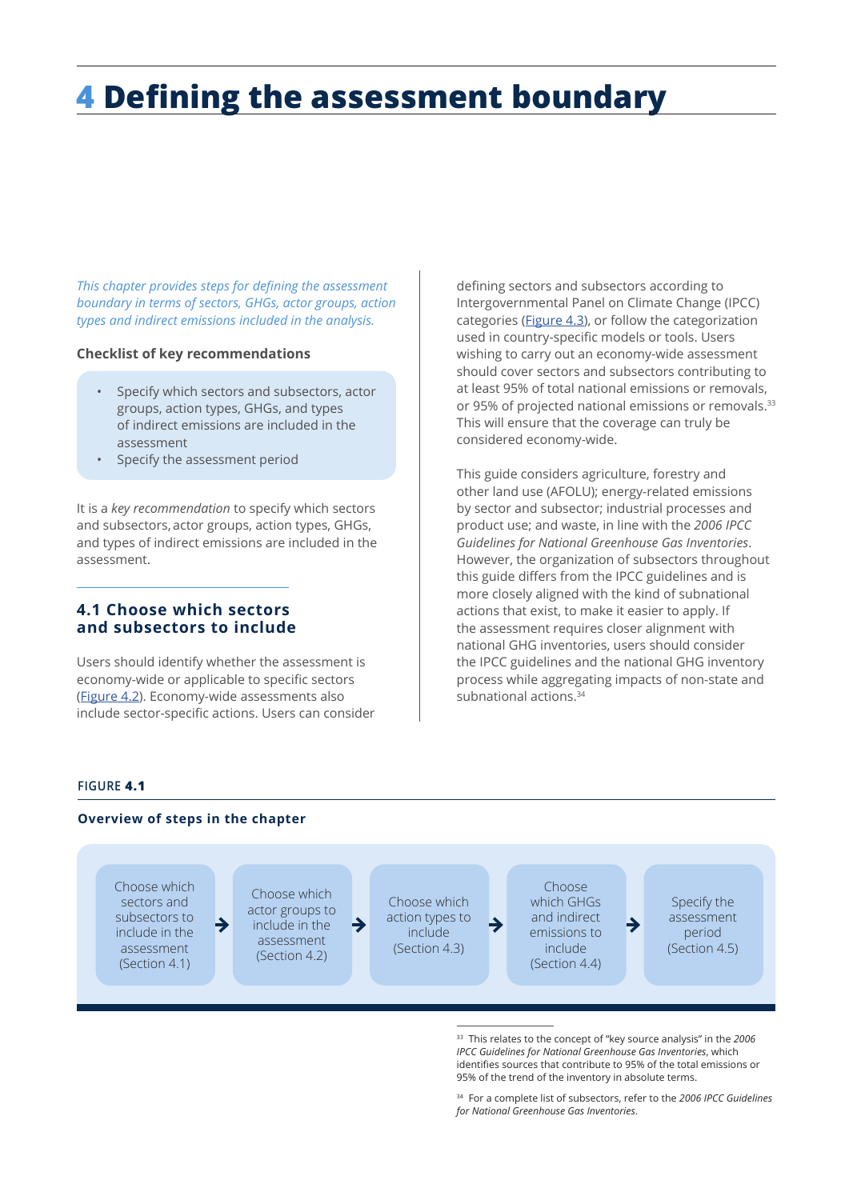# **4 Defining the assessment boundary**

*This chapter provides steps for defining the assessment boundary in terms of sectors, GHGs, actor groups, action types and indirect emissions included in the analysis.* 

#### **Checklist of key recommendations**

- Specify which sectors and subsectors, actor groups, action types, GHGs, and types of indirect emissions are included in the assessment
- Specify the assessment period

It is a *key recommendation* to specify which sectors and subsectors, actor groups, action types, GHGs, and types of indirect emissions are included in the assessment.

#### **4.1 Choose which sectors and subsectors to include**

Users should identify whether the assessment is economy-wide or applicable to specific sectors ([Figure](#page-1-0) 4.2). Economy-wide assessments also include sector-specific actions. Users can consider defining sectors and subsectors according to Intergovernmental Panel on Climate Change (IPCC) categories ([Figure 4.3](#page-2-0)), or follow the categorization used in country-specific models or tools. Users wishing to carry out an economy-wide assessment should cover sectors and subsectors contributing to at least 95% of total national emissions or removals, or 95% of projected national emissions or removals.<sup>33</sup> This will ensure that the coverage can truly be considered economy-wide.

This guide considers agriculture, forestry and other land use (AFOLU); energy-related emissions by sector and subsector; industrial processes and product use; and waste, in line with the *2006 IPCC Guidelines for National Greenhouse Gas Inventories*. However, the organization of subsectors throughout this guide differs from the IPCC guidelines and is more closely aligned with the kind of subnational actions that exist, to make it easier to apply. If the assessment requires closer alignment with national GHG inventories, users should consider the IPCC guidelines and the national GHG inventory process while aggregating impacts of non-state and subnational actions.<sup>34</sup>

#### **FIGURE 4.1**

#### **Overview of steps in the chapter**



<sup>33</sup> This relates to the concept of "key source analysis" in the *2006 IPCC Guidelines for National Greenhouse Gas Inventories*, which identifies sources that contribute to 95% of the total emissions or 95% of the trend of the inventory in absolute terms.

<sup>34</sup> For a complete list of subsectors, refer to the *2006 IPCC Guidelines for National Greenhouse Gas Inventories*.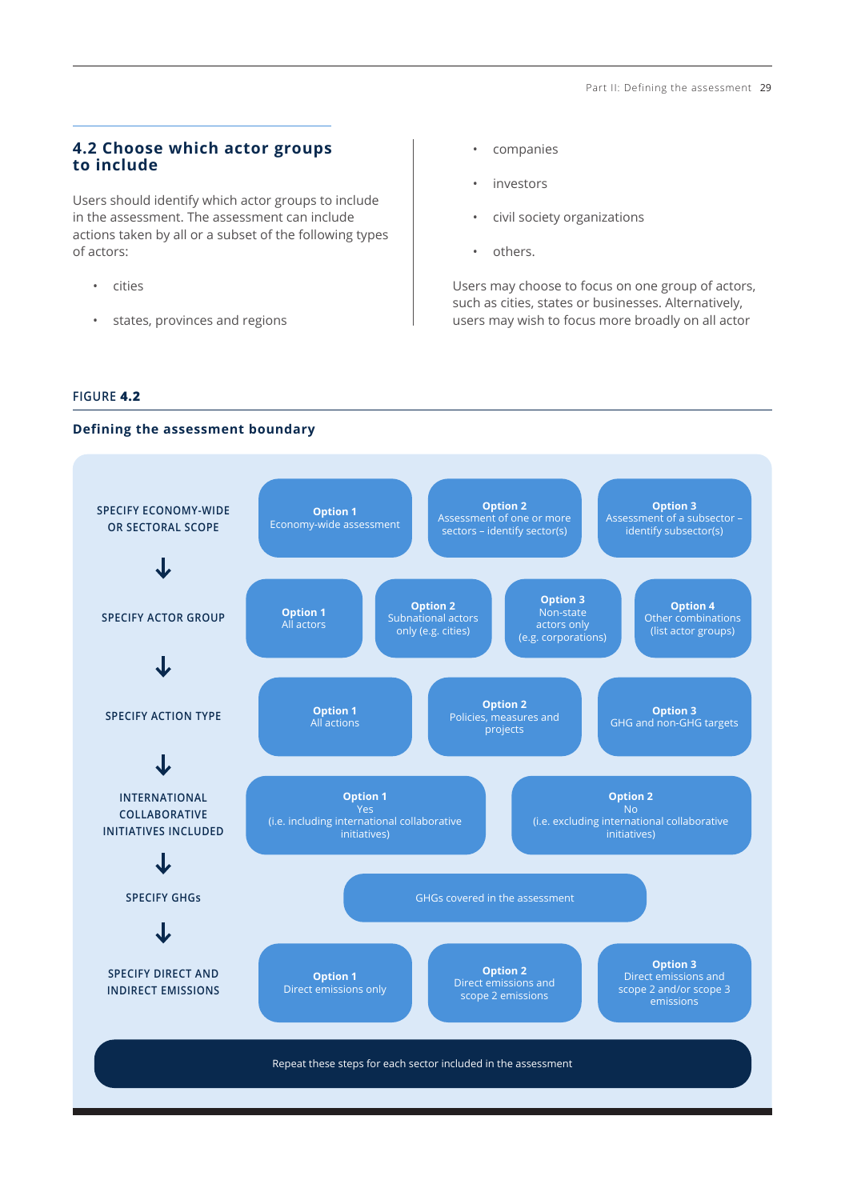## <span id="page-1-0"></span>**4.2 Choose which actor groups to include**

Users should identify which actor groups to include in the assessment. The assessment can include actions taken by all or a subset of the following types of actors:

- cities
- states, provinces and regions
- companies
- investors
- civil society organizations
- others.

Users may choose to focus on one group of actors, such as cities, states or businesses. Alternatively, users may wish to focus more broadly on all actor

#### **FIGURE 4.2**

#### **Defining the assessment boundary**

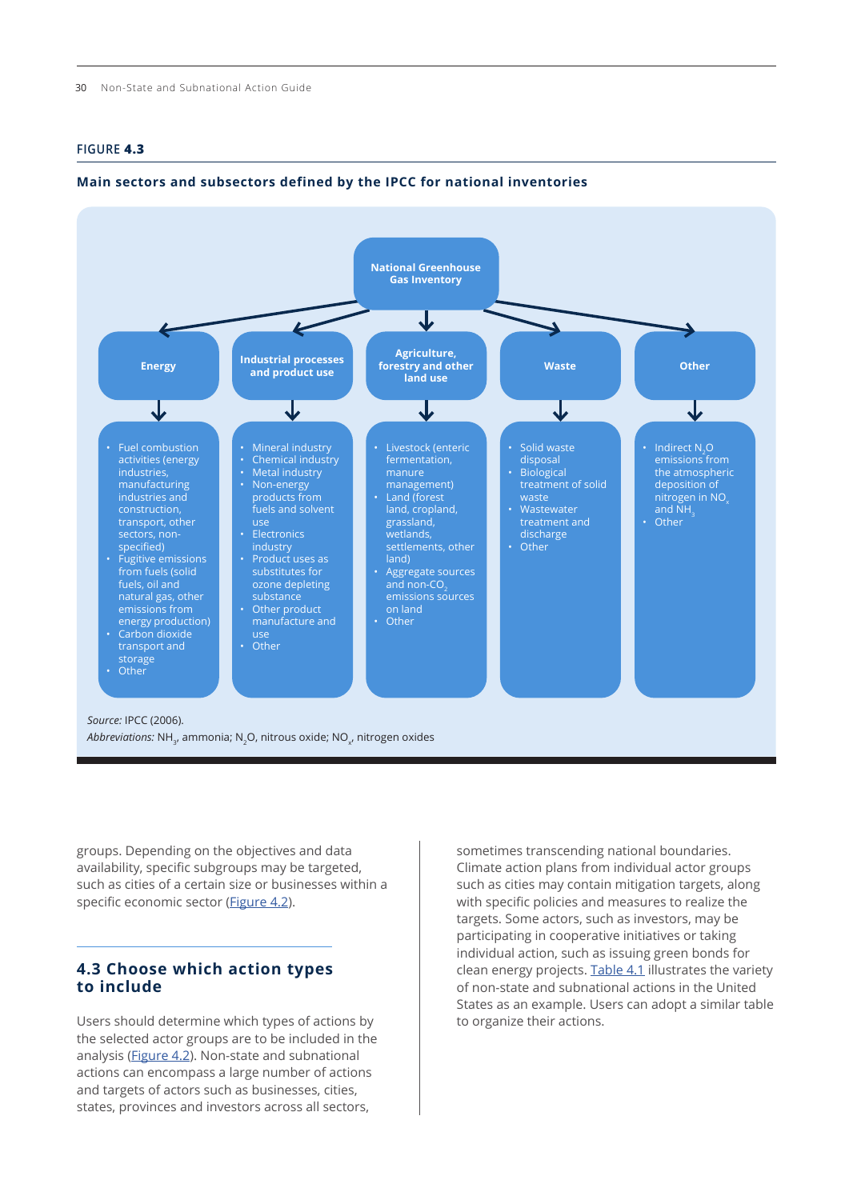#### <span id="page-2-0"></span>**FIGURE 4.3**

#### **Main sectors and subsectors defined by the IPCC for national inventories**



groups. Depending on the objectives and data availability, specific subgroups may be targeted, such as cities of a certain size or businesses within a specific economic sector [\(Figure 4.2](#page-1-0)).

## **4.3 Choose which action types to include**

Users should determine which types of actions by the selected actor groups are to be included in the analysis ([Figure 4.2](#page-1-0)). Non-state and subnational actions can encompass a large number of actions and targets of actors such as businesses, cities, states, provinces and investors across all sectors,

sometimes transcending national boundaries. Climate action plans from individual actor groups such as cities may contain mitigation targets, along with specific policies and measures to realize the targets. Some actors, such as investors, may be participating in cooperative initiatives or taking individual action, such as issuing green bonds for clean energy projects. [Table 4.1](#page-3-0) illustrates the variety of non-state and subnational actions in the United States as an example. Users can adopt a similar table to organize their actions.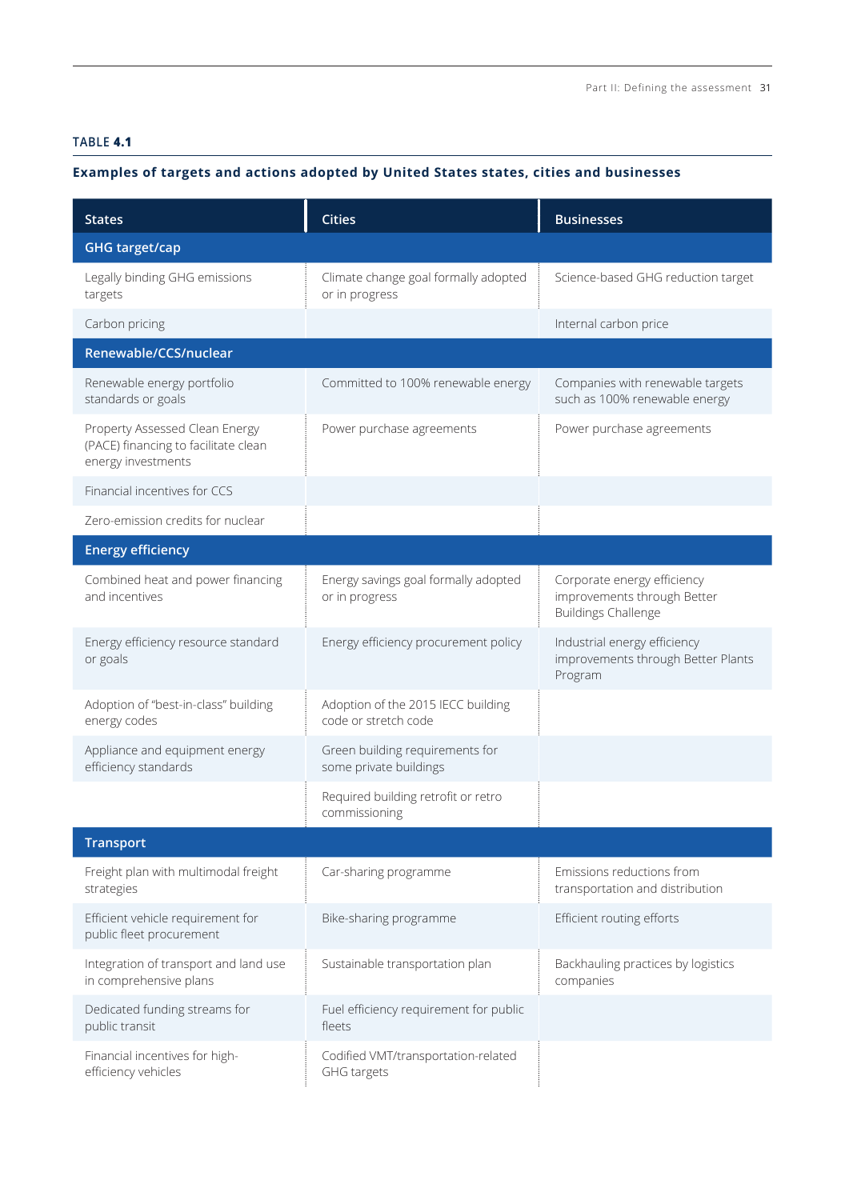## <span id="page-3-0"></span>**TABLE 4.1**

# **Examples of targets and actions adopted by United States states, cities and businesses**

| <b>States</b>                                                                                | <b>Cities</b>                                              | <b>Businesses</b>                                                                        |  |
|----------------------------------------------------------------------------------------------|------------------------------------------------------------|------------------------------------------------------------------------------------------|--|
| <b>GHG target/cap</b>                                                                        |                                                            |                                                                                          |  |
| Legally binding GHG emissions<br>targets                                                     | Climate change goal formally adopted<br>or in progress     | Science-based GHG reduction target                                                       |  |
| Carbon pricing                                                                               |                                                            | Internal carbon price                                                                    |  |
| Renewable/CCS/nuclear                                                                        |                                                            |                                                                                          |  |
| Renewable energy portfolio<br>standards or goals                                             | Committed to 100% renewable energy                         | Companies with renewable targets<br>such as 100% renewable energy                        |  |
| Property Assessed Clean Energy<br>(PACE) financing to facilitate clean<br>energy investments | Power purchase agreements                                  | Power purchase agreements                                                                |  |
| Financial incentives for CCS                                                                 |                                                            |                                                                                          |  |
| Zero-emission credits for nuclear                                                            |                                                            |                                                                                          |  |
| <b>Energy efficiency</b>                                                                     |                                                            |                                                                                          |  |
| Combined heat and power financing<br>and incentives                                          | Energy savings goal formally adopted<br>or in progress     | Corporate energy efficiency<br>improvements through Better<br><b>Buildings Challenge</b> |  |
| Energy efficiency resource standard<br>or goals                                              | Energy efficiency procurement policy                       | Industrial energy efficiency<br>improvements through Better Plants<br>Program            |  |
| Adoption of "best-in-class" building<br>energy codes                                         | Adoption of the 2015 IECC building<br>code or stretch code |                                                                                          |  |
| Appliance and equipment energy<br>efficiency standards                                       | Green building requirements for<br>some private buildings  |                                                                                          |  |
|                                                                                              | Required building retrofit or retro<br>commissioning       |                                                                                          |  |
| <b>Transport</b>                                                                             |                                                            |                                                                                          |  |
| Freight plan with multimodal freight<br>strategies                                           | Car-sharing programme                                      | Emissions reductions from<br>transportation and distribution                             |  |
| Efficient vehicle requirement for<br>public fleet procurement                                | Bike-sharing programme                                     | Efficient routing efforts                                                                |  |
| Integration of transport and land use<br>in comprehensive plans                              | Sustainable transportation plan                            | Backhauling practices by logistics<br>companies                                          |  |
| Dedicated funding streams for<br>public transit                                              | Fuel efficiency requirement for public<br>fleets           |                                                                                          |  |
| Financial incentives for high-<br>efficiency vehicles                                        | Codified VMT/transportation-related<br>GHG targets         |                                                                                          |  |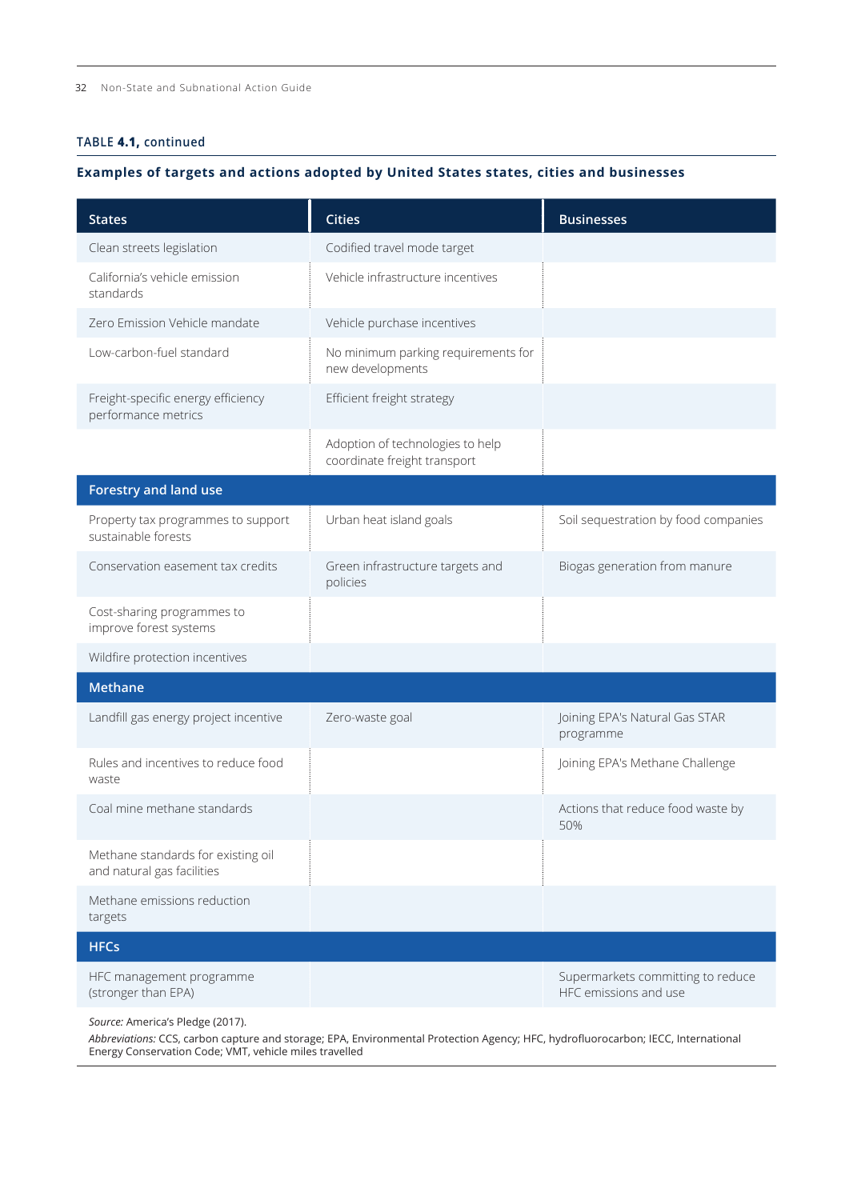#### **TABLE 4.1, continued**

#### **Examples of targets and actions adopted by United States states, cities and businesses**

| <b>States</b>                                                    | <b>Cities</b>                                                    | <b>Businesses</b>                                          |
|------------------------------------------------------------------|------------------------------------------------------------------|------------------------------------------------------------|
| Clean streets legislation                                        | Codified travel mode target                                      |                                                            |
| California's vehicle emission<br>standards                       | Vehicle infrastructure incentives                                |                                                            |
| Zero Emission Vehicle mandate                                    | Vehicle purchase incentives                                      |                                                            |
| Low-carbon-fuel standard                                         | No minimum parking requirements for<br>new developments          |                                                            |
| Freight-specific energy efficiency<br>performance metrics        | Efficient freight strategy                                       |                                                            |
|                                                                  | Adoption of technologies to help<br>coordinate freight transport |                                                            |
| <b>Forestry and land use</b>                                     |                                                                  |                                                            |
| Property tax programmes to support<br>sustainable forests        | Urban heat island goals                                          | Soil sequestration by food companies                       |
| Conservation easement tax credits                                | Green infrastructure targets and<br>policies                     | Biogas generation from manure                              |
| Cost-sharing programmes to<br>improve forest systems             |                                                                  |                                                            |
| Wildfire protection incentives                                   |                                                                  |                                                            |
| <b>Methane</b>                                                   |                                                                  |                                                            |
| Landfill gas energy project incentive                            | Zero-waste goal                                                  | Joining EPA's Natural Gas STAR<br>programme                |
| Rules and incentives to reduce food<br>waste                     |                                                                  | Joining EPA's Methane Challenge                            |
| Coal mine methane standards                                      |                                                                  | Actions that reduce food waste by<br>50%                   |
| Methane standards for existing oil<br>and natural gas facilities |                                                                  |                                                            |
| Methane emissions reduction<br>targets                           |                                                                  |                                                            |
| <b>HFCs</b>                                                      |                                                                  |                                                            |
| HFC management programme<br>(stronger than EPA)                  |                                                                  | Supermarkets committing to reduce<br>HFC emissions and use |

*Source:* America's Pledge (2017).

*Abbreviations:* CCS, carbon capture and storage; EPA, Environmental Protection Agency; HFC, hydrofluorocarbon; IECC, International Energy Conservation Code; VMT, vehicle miles travelled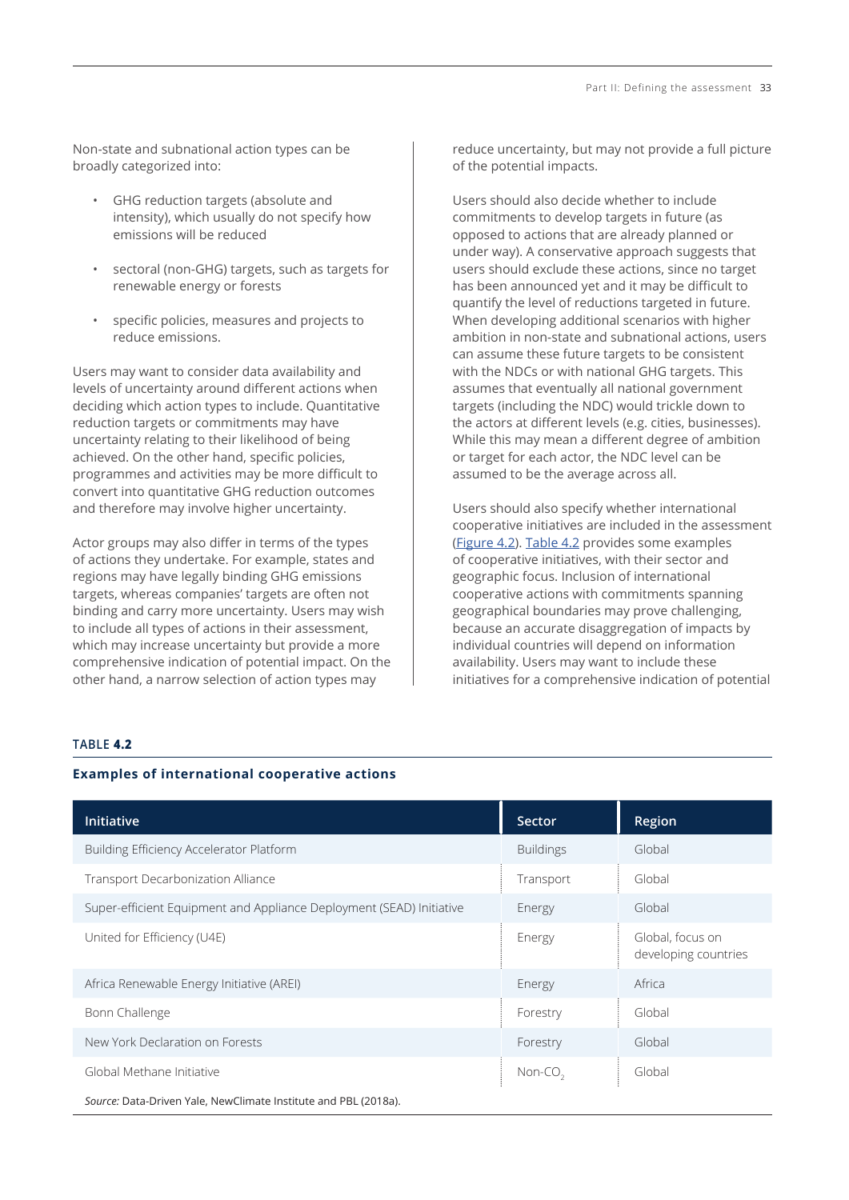Non-state and subnational action types can be broadly categorized into:

- GHG reduction targets (absolute and intensity), which usually do not specify how emissions will be reduced
- sectoral (non-GHG) targets, such as targets for renewable energy or forests
- specific policies, measures and projects to reduce emissions.

Users may want to consider data availability and levels of uncertainty around different actions when deciding which action types to include. Quantitative reduction targets or commitments may have uncertainty relating to their likelihood of being achieved. On the other hand, specific policies, programmes and activities may be more difficult to convert into quantitative GHG reduction outcomes and therefore may involve higher uncertainty.

Actor groups may also differ in terms of the types of actions they undertake. For example, states and regions may have legally binding GHG emissions targets, whereas companies' targets are often not binding and carry more uncertainty. Users may wish to include all types of actions in their assessment, which may increase uncertainty but provide a more comprehensive indication of potential impact. On the other hand, a narrow selection of action types may

reduce uncertainty, but may not provide a full picture of the potential impacts.

Users should also decide whether to include commitments to develop targets in future (as opposed to actions that are already planned or under way). A conservative approach suggests that users should exclude these actions, since no target has been announced yet and it may be difficult to quantify the level of reductions targeted in future. When developing additional scenarios with higher ambition in non-state and subnational actions, users can assume these future targets to be consistent with the NDCs or with national GHG targets. This assumes that eventually all national government targets (including the NDC) would trickle down to the actors at different levels (e.g. cities, businesses). While this may mean a different degree of ambition or target for each actor, the NDC level can be assumed to be the average across all.

Users should also specify whether international cooperative initiatives are included in the assessment ([Figure 4.2](#page-1-0)). Table 4.2 provides some examples of cooperative initiatives, with their sector and geographic focus. Inclusion of international cooperative actions with commitments spanning geographical boundaries may prove challenging, because an accurate disaggregation of impacts by individual countries will depend on information availability. Users may want to include these initiatives for a comprehensive indication of potential

## **TABLE 4.2**

#### **Examples of international cooperative actions**

| Initiative                                                           | Sector              | Region                                   |  |  |
|----------------------------------------------------------------------|---------------------|------------------------------------------|--|--|
| Building Efficiency Accelerator Platform                             | <b>Buildings</b>    | Global                                   |  |  |
| <b>Transport Decarbonization Alliance</b>                            | Transport           | Global                                   |  |  |
| Super-efficient Equipment and Appliance Deployment (SEAD) Initiative | Energy              | Global                                   |  |  |
| United for Efficiency (U4E)                                          | Energy              | Global, focus on<br>developing countries |  |  |
| Africa Renewable Energy Initiative (AREI)                            | Energy              | Africa                                   |  |  |
| Bonn Challenge                                                       | Forestry            | Global                                   |  |  |
| New York Declaration on Forests                                      | Forestry            | Global                                   |  |  |
| Global Methane Initiative                                            | Non-CO <sub>2</sub> | Global                                   |  |  |
| Source: Data-Driven Yale, NewClimate Institute and PBL (2018a).      |                     |                                          |  |  |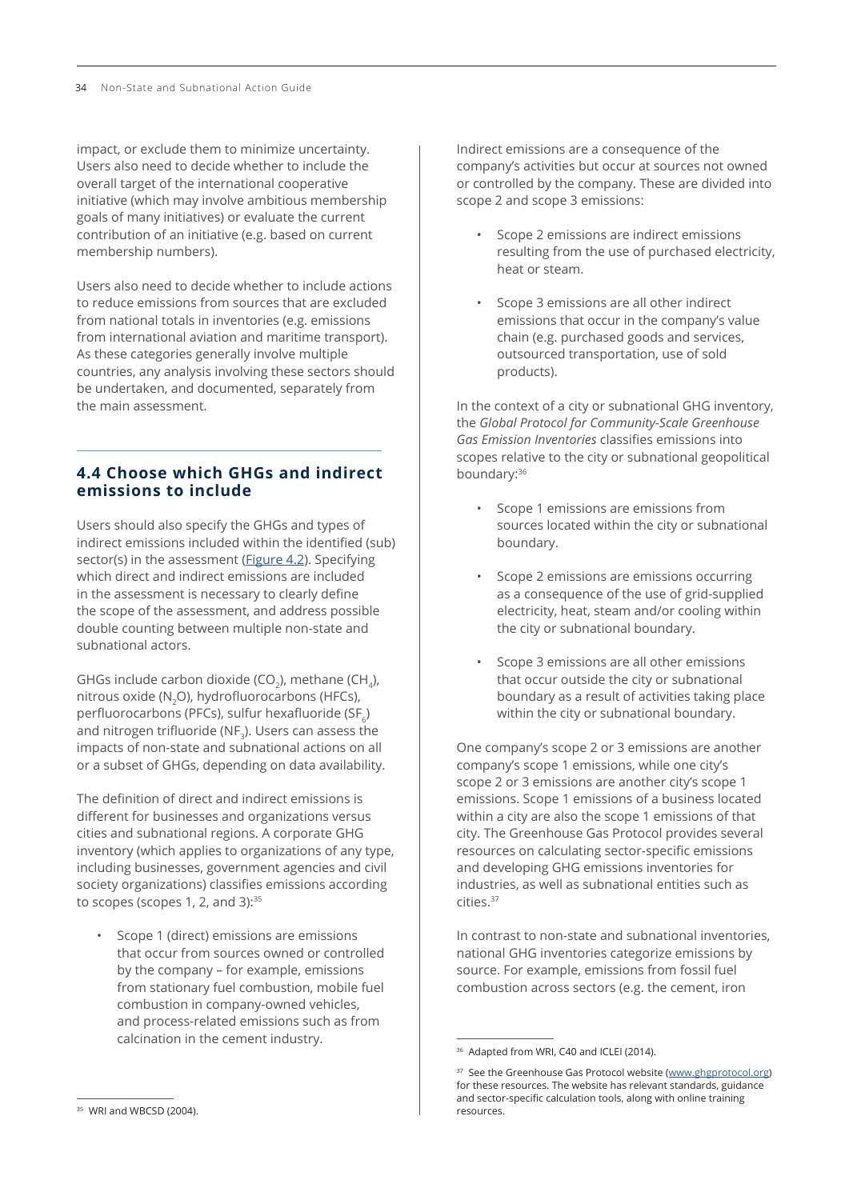impact, or exclude them to minimize uncertainty. Users also need to decide whether to include the overall target of the international cooperative initiative (which may involve ambitious membership goals of many initiatives) or evaluate the current contribution of an initiative (e.g. based on current membership numbers).

Users also need to decide whether to include actions to reduce emissions from sources that are excluded from national totals in inventories (e.g. emissions from international aviation and maritime transport). As these categories generally involve multiple countries, any analysis involving these sectors should be undertaken, and documented, separately from the main assessment.

## **4.4 Choose which GHGs and indirect emissions to include**

Users should also specify the GHGs and types of indirect emissions included within the identified (sub) sector(s) in the assessment ([Figure 4.2](#page-1-0)). Specifying which direct and indirect emissions are included in the assessment is necessary to clearly define the scope of the assessment, and address possible double counting between multiple non-state and subnational actors.

GHGs include carbon dioxide (CO<sub>2</sub>), methane (CH<sub>2</sub>), nitrous oxide (N2O), hydrofluorocarbons (HFCs), perfluorocarbons (PFCs), sulfur hexafluoride (SF $_c$ ) and nitrogen trifluoride (NF.). Users can assess the impacts of non-state and subnational actions on all or a subset of GHGs, depending on data availability.

The definition of direct and indirect emissions is different for businesses and organizations versus cities and subnational regions. A corporate GHG inventory (which applies to organizations of any type, including businesses, government agencies and civil society organizations) classifies emissions according to scopes (scopes 1, 2, and 3): $35$ 

• Scope 1 (direct) emissions are emissions that occur from sources owned or controlled by the company – for example, emissions from stationary fuel combustion, mobile fuel combustion in company-owned vehicles, and process-related emissions such as from calcination in the cement industry.

Indirect emissions are a consequence of the company's activities but occur at sources not owned or controlled by the company. These are divided into scope 2 and scope 3 emissions:

- Scope 2 emissions are indirect emissions resulting from the use of purchased electricity, heat or steam.
- Scope 3 emissions are all other indirect emissions that occur in the company's value chain (e.g. purchased goods and services, outsourced transportation, use of sold products).

In the context of a city or subnational GHG inventory, the *Global Protocol for Community-Scale Greenhouse Gas Emission Inventories* classifies emissions into scopes relative to the city or subnational geopolitical boundary:<sup>36</sup>

- Scope 1 emissions are emissions from sources located within the city or subnational boundary.
- Scope 2 emissions are emissions occurring as a consequence of the use of grid-supplied electricity, heat, steam and/or cooling within the city or subnational boundary.
- Scope 3 emissions are all other emissions that occur outside the city or subnational boundary as a result of activities taking place within the city or subnational boundary.

One company's scope 2 or 3 emissions are another company's scope 1 emissions, while one city's scope 2 or 3 emissions are another city's scope 1 emissions. Scope 1 emissions of a business located within a city are also the scope 1 emissions of that city. The Greenhouse Gas Protocol provides several resources on calculating sector-specific emissions and developing GHG emissions inventories for industries, as well as subnational entities such as cities.<sup>37</sup>

In contrast to non-state and subnational inventories, national GHG inventories categorize emissions by source. For example, emissions from fossil fuel combustion across sectors (e.g. the cement, iron

<sup>&</sup>lt;sup>36</sup> Adapted from WRI, C40 and ICLEI (2014).

<sup>&</sup>lt;sup>37</sup> See the Greenhouse Gas Protocol website [\(www.ghgprotocol.org](http://www.ghgprotocol.org)) for these resources. The website has relevant standards, guidance and sector-specific calculation tools, along with online training resources.

<sup>&</sup>lt;sup>35</sup> WRI and WBCSD (2004).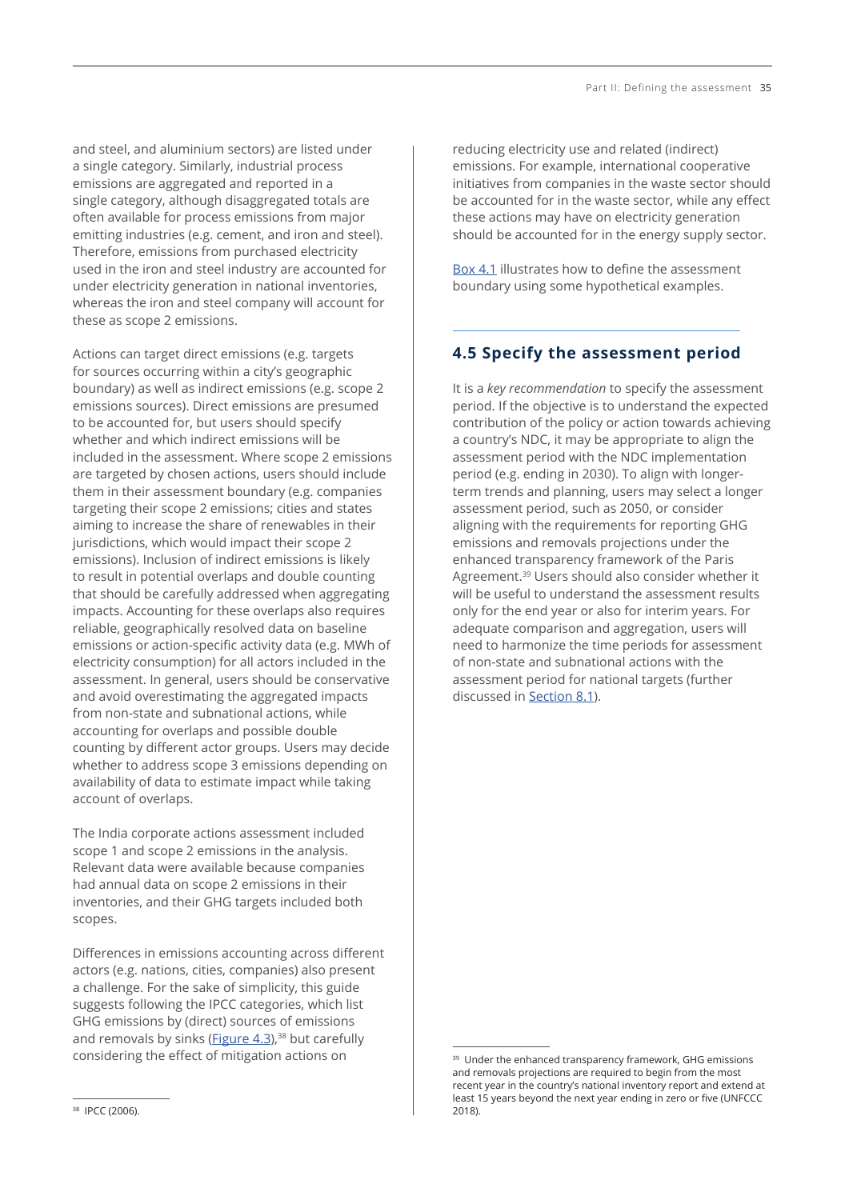and steel, and aluminium sectors) are listed under a single category. Similarly, industrial process emissions are aggregated and reported in a single category, although disaggregated totals are often available for process emissions from major emitting industries (e.g. cement, and iron and steel). Therefore, emissions from purchased electricity used in the iron and steel industry are accounted for under electricity generation in national inventories, whereas the iron and steel company will account for these as scope 2 emissions.

Actions can target direct emissions (e.g. targets for sources occurring within a city's geographic boundary) as well as indirect emissions (e.g. scope 2 emissions sources). Direct emissions are presumed to be accounted for, but users should specify whether and which indirect emissions will be included in the assessment. Where scope 2 emissions are targeted by chosen actions, users should include them in their assessment boundary (e.g. companies targeting their scope 2 emissions; cities and states aiming to increase the share of renewables in their jurisdictions, which would impact their scope 2 emissions). Inclusion of indirect emissions is likely to result in potential overlaps and double counting that should be carefully addressed when aggregating impacts. Accounting for these overlaps also requires reliable, geographically resolved data on baseline emissions or action-specific activity data (e.g. MWh of electricity consumption) for all actors included in the assessment. In general, users should be conservative and avoid overestimating the aggregated impacts from non-state and subnational actions, while accounting for overlaps and possible double counting by different actor groups. Users may decide whether to address scope 3 emissions depending on availability of data to estimate impact while taking account of overlaps.

The India corporate actions assessment included scope 1 and scope 2 emissions in the analysis. Relevant data were available because companies had annual data on scope 2 emissions in their inventories, and their GHG targets included both scopes.

Differences in emissions accounting across different actors (e.g. nations, cities, companies) also present a challenge. For the sake of simplicity, this guide suggests following the IPCC categories, which list GHG emissions by (direct) sources of emissions and removals by sinks ([Figure 4.3](#page-2-0)).<sup>38</sup> but carefully considering the effect of mitigation actions on

reducing electricity use and related (indirect) emissions. For example, international cooperative initiatives from companies in the waste sector should be accounted for in the waste sector, while any effect these actions may have on electricity generation should be accounted for in the energy supply sector.

[Box 4](#page-8-0).1 illustrates how to define the assessment boundary using some hypothetical examples.

# **4.5 Specify the assessment period**

It is a *key recommendation* to specify the assessment period. If the objective is to understand the expected contribution of the policy or action towards achieving a country's NDC, it may be appropriate to align the assessment period with the NDC implementation period (e.g. ending in 2030). To align with longerterm trends and planning, users may select a longer assessment period, such as 2050, or consider aligning with the requirements for reporting GHG emissions and removals projections under the enhanced transparency framework of the Paris Agreement.<sup>39</sup> Users should also consider whether it will be useful to understand the assessment results only for the end year or also for interim years. For adequate comparison and aggregation, users will need to harmonize the time periods for assessment of non-state and subnational actions with the assessment period for national targets (further discussed in Section 8.1).

<sup>&</sup>lt;sup>39</sup> Under the enhanced transparency framework, GHG emissions and removals projections are required to begin from the most recent year in the country's national inventory report and extend at least 15 years beyond the next year ending in zero or five (UNFCCC 2018).

<sup>38</sup> IPCC (2006).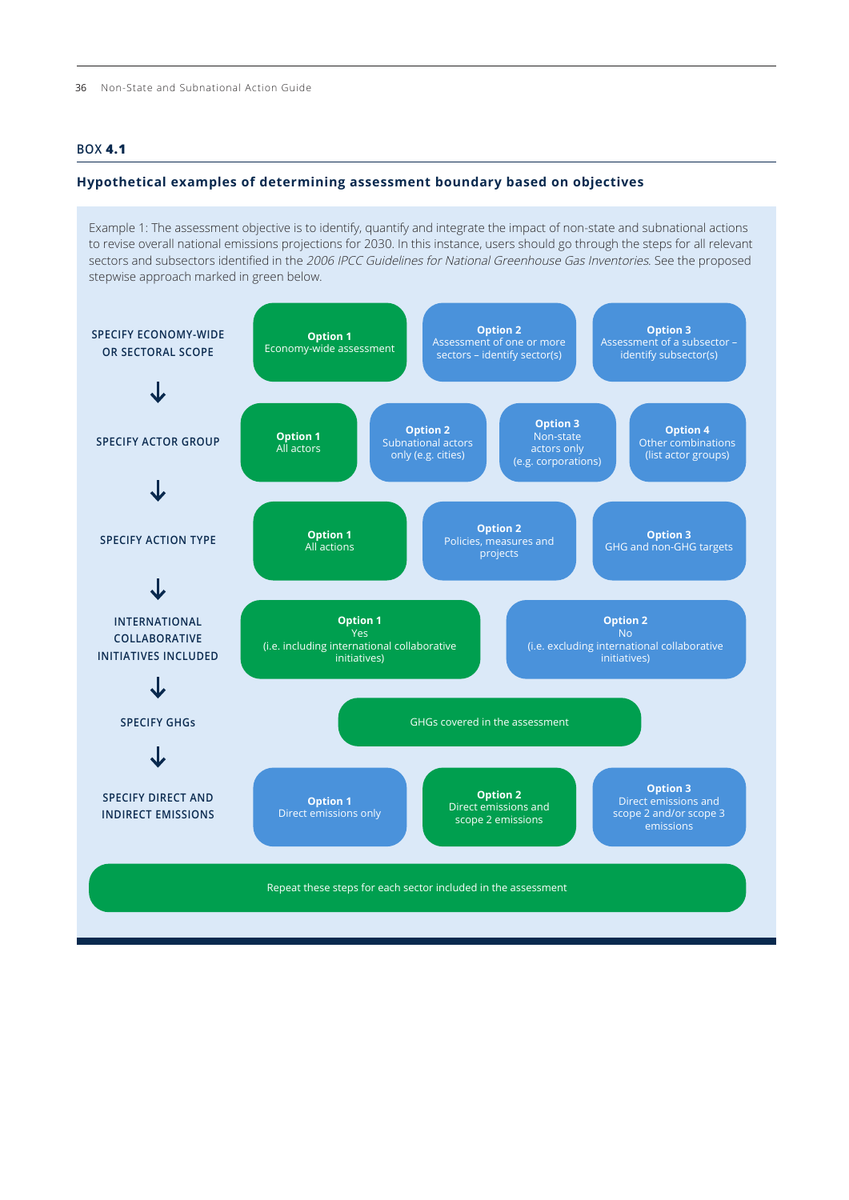### <span id="page-8-0"></span>**BOX 4.1**

#### **Hypothetical examples of determining assessment boundary based on objectives**

Example 1: The assessment objective is to identify, quantify and integrate the impact of non-state and subnational actions to revise overall national emissions projections for 2030. In this instance, users should go through the steps for all relevant sectors and subsectors identified in the 2006 IPCC Guidelines for National Greenhouse Gas Inventories. See the proposed stepwise approach marked in green below.

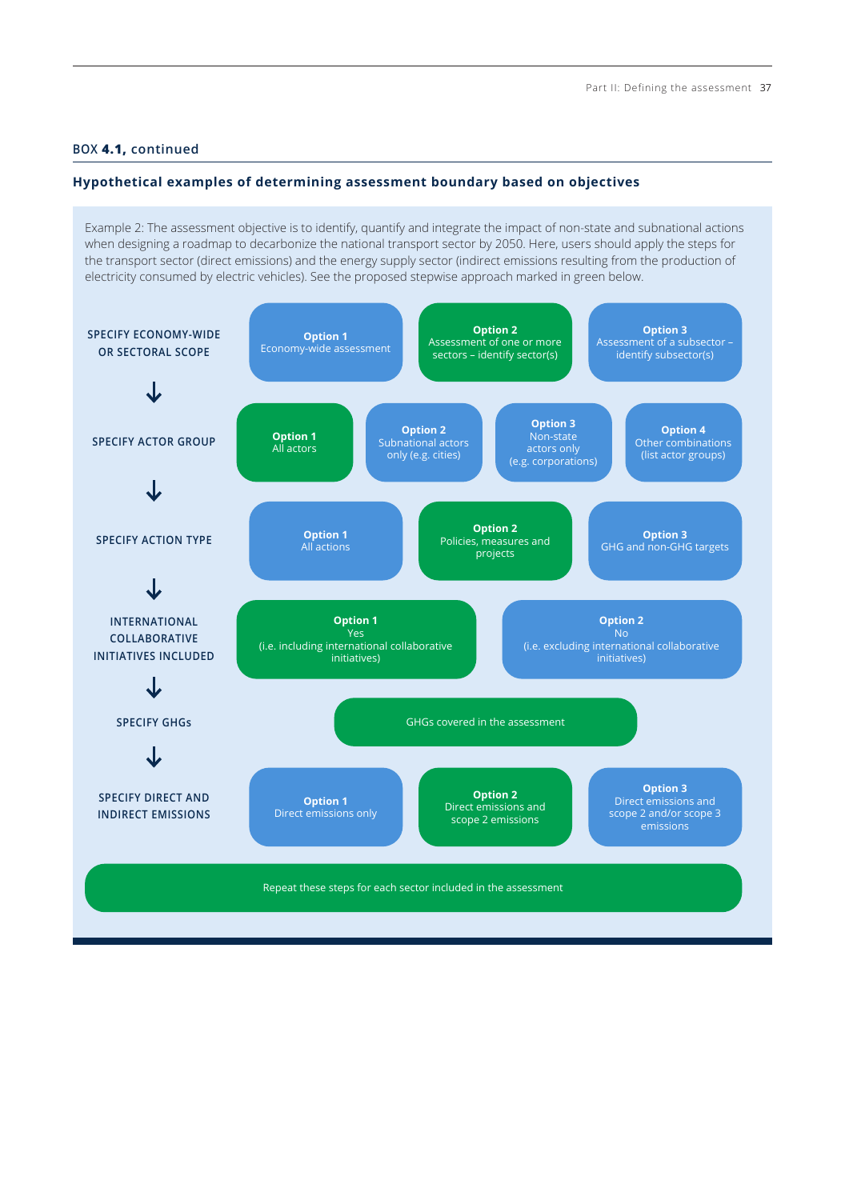#### **BOX 4.1, continued**

#### **Hypothetical examples of determining assessment boundary based on objectives**

Example 2: The assessment objective is to identify, quantify and integrate the impact of non-state and subnational actions when designing a roadmap to decarbonize the national transport sector by 2050. Here, users should apply the steps for the transport sector (direct emissions) and the energy supply sector (indirect emissions resulting from the production of electricity consumed by electric vehicles). See the proposed stepwise approach marked in green below.